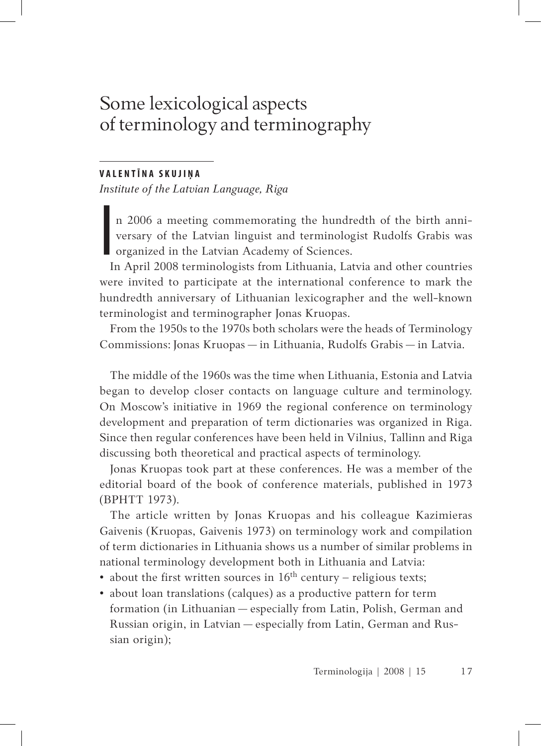# Some lexicological aspects of terminology and terminography

### **V A L E N T Ī N A S K U J I Ņ A**

*Institute of the Latvian Language, Riga*

n 2006 a meeting commemorating the hundredth of the birth anniversary of the Latvian linguist and terminologist Rudolfs Grabis was organized in the Latvian Academy of Sciences.

I In April 2008 terminologists from Lithuania, Latvia and other countries were invited to participate at the international conference to mark the hundredth anniversary of Lithuanian lexicographer and the well-known terminologist and terminographer Jonas Kruopas.

From the 1950s to the 1970s both scholars were the heads of Terminology Commissions: Jonas Kruopas — in Lithuania, Rudolfs Grabis — in Latvia.

The middle of the 1960s was the time when Lithuania, Estonia and Latvia began to develop closer contacts on language culture and terminology. On Moscow's initiative in 1969 the regional conference on terminology development and preparation of term dictionaries was organized in Riga. Since then regular conferences have been held in Vilnius, Tallinn and Riga discussing both theoretical and practical aspects of terminology.

Jonas Kruopas took part at these conferences. He was a member of the editorial board of the book of conference materials, published in 1973 (BPHTT 1973).

The article written by Jonas Kruopas and his colleague Kazimieras Gaivenis (Kruopas, Gaivenis 1973) on terminology work and compilation of term dictionaries in Lithuania shows us a number of similar problems in national terminology development both in Lithuania and Latvia:

- about the first written sources in  $16<sup>th</sup>$  century religious texts;
- about loan translations (calques) as a productive pattern for term formation (in Lithuanian — especially from Latin, Polish, German and Russian origin, in Latvian — especially from Latin, German and Russian origin);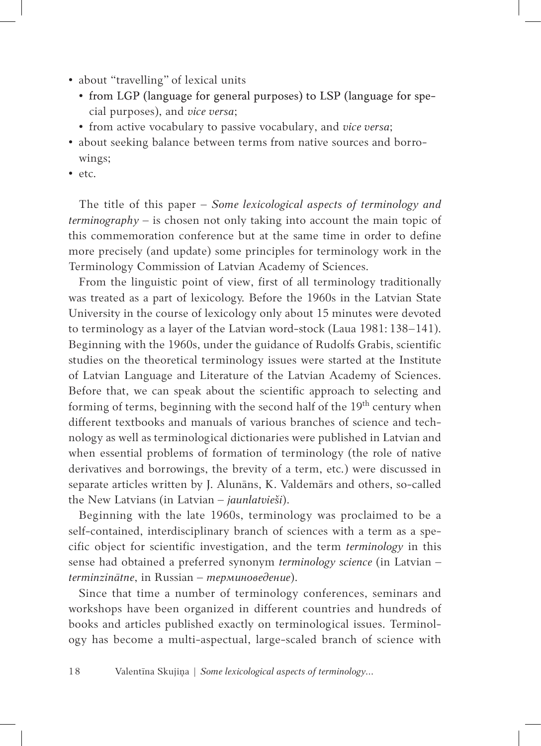- about "travelling" of lexical units
	- from LGP (language for general purposes) to LSP (language for special purposes), and *vice versa*;
	- from active vocabulary to passive vocabulary, and *vice versa*;
- about seeking balance between terms from native sources and borrowings;
- etc.

The title of this paper – *Some lexicological aspects of terminology and terminography* – is chosen not only taking into account the main topic of this commemoration conference but at the same time in order to define more precisely (and update) some principles for terminology work in the Terminology Commission of Latvian Academy of Sciences.

From the linguistic point of view, first of all terminology traditionally was treated as a part of lexicology. Before the 1960s in the Latvian State University in the course of lexicology only about 15 minutes were devoted to terminology as a layer of the Latvian word-stock (Laua 1981: 138–141). Beginning with the 1960s, under the guidance of Rudolfs Grabis, scientific studies on the theoretical terminology issues were started at the Institute of Latvian Language and Literature of the Latvian Academy of Sciences. Before that, we can speak about the scientific approach to selecting and forming of terms, beginning with the second half of the  $19<sup>th</sup>$  century when different textbooks and manuals of various branches of science and technology as well as terminological dictionaries were published in Latvian and when essential problems of formation of terminology (the role of native derivatives and borrowings, the brevity of a term, etc.) were discussed in separate articles written by J. Alunāns, K. Valdemārs and others, so-called the New Latvians (in Latvian – *jaunlatvieši*).

Beginning with the late 1960s, terminology was proclaimed to be a self-contained, interdisciplinary branch of sciences with a term as a specific object for scientific investigation, and the term *terminology* in this sense had obtained a preferred synonym *terminology science* (in Latvian – *terminzinātne*, in Russian – *терминоведение*).

Since that time a number of terminology conferences, seminars and workshops have been organized in different countries and hundreds of books and articles published exactly on terminological issues. Terminology has become a multi-aspectual, large-scaled branch of science with

1 8 Valentīna Skujiņa | *Some lexicological aspects of terminology...*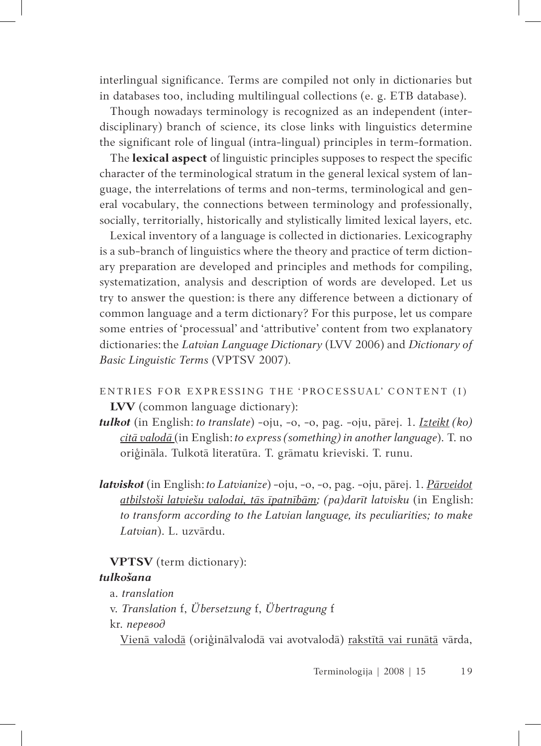interlingual significance. Terms are compiled not only in dictionaries but in databases too, including multilingual collections (e. g. ETB database).

Though nowadays terminology is recognized as an independent (interdisciplinary) branch of science, its close links with linguistics determine the significant role of lingual (intra-lingual) principles in term-formation.

The **lexical aspect** of linguistic principles supposes to respect the specific character of the terminological stratum in the general lexical system of language, the interrelations of terms and non-terms, terminological and general vocabulary, the connections between terminology and professionally, socially, territorially, historically and stylistically limited lexical layers, etc.

Lexical inventory of a language is collected in dictionaries. Lexicography is a sub-branch of linguistics where the theory and practice of term dictionary preparation are developed and principles and methods for compiling, systematization, analysis and description of words are developed. Let us try to answer the question: is there any difference between a dictionary of common language and a term dictionary? For this purpose, let us compare some entries of 'processual' and 'attributive' content from two explanatory dictionaries: the *Latvian Language Dictionary* (LVV 2006) and *Dictionary of Basic Linguistic Terms* (VPTSV 2007).

- ENTRIES FOR EXPRESSING THE 'PROCESSUAL' CONTENT (I) **LVV** (common language dictionary):
- *tulkot* (in English: *to translate*) -oju, -o, -o, pag. -oju, pārej. 1. *Izteikt (ko) citā valodā* (in English: *to express (something) in another language*). T. no oriģināla. Tulkotā literatūra. T. grāmatu krieviski. T. runu.
- *latviskot* (in English: *to Latvianize*) -oju, -o, -o, pag. -oju, pārej. 1. *Pārveidot atbilstoši latviešu valodai, tās īpatnībām; (pa)darīt latvisku* (in English: *to transform according to the Latvian language, its peculiarities; to make Latvian*). L. uzvārdu.

### **VPTSV** (term dictionary):

## *tulkošana*

- a. *translation*
- v. *Translation* f, *Übersetzung* f, *Übertragung* f
- kr. *перевод*

Vienā valodā (oriģinālvalodā vai avotvalodā) rakstītā vai runātā vārda,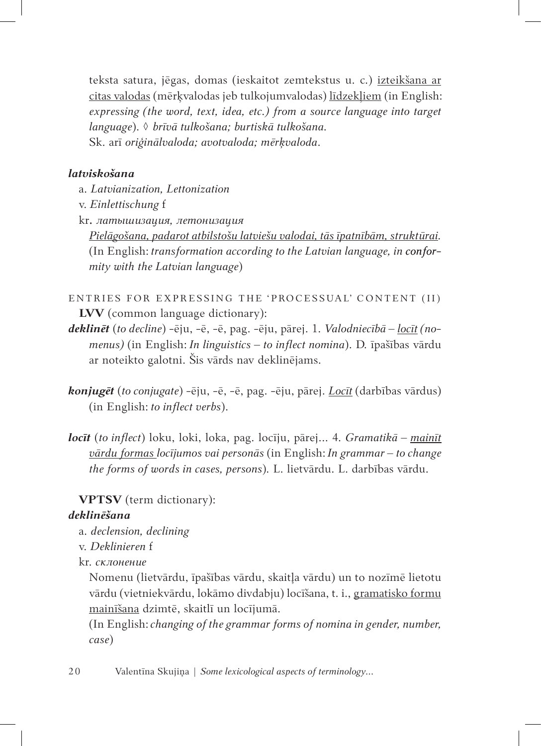teksta satura, jēgas, domas (ieskaitot zemtekstus u. c.) izteikšana ar citas valodas (mērķvalodas jeb tulkojumvalodas) līdzekļiem (in English: *expressing (the word, text, idea, etc.) from a source language into target language*). ◊ *brīvā tulkošana; burtiskā tulkošana.* Sk. arī *oriģinālvaloda; avotvaloda; mērķvaloda*.

# *latviskošana*

- a. *Latvianization, Lettonization*
- v. *Einlettischung* f
- kr**.** *латышизация, летонизация*

*Pielāgošana, padarot atbilstošu latviešu valodai, tās īpatnībām, struktūrai.* (In English: *transformation according to the Latvian language, in conformity with the Latvian language*)

- ENTRIES FOR EXPRESSING THE 'PROCESSUAL' CONTENT (II) **LVV** (common language dictionary):
- *deklinēt* (*to decline*) -ēju, -ē, -ē, pag. -ēju, pārej. 1. *Valodniecībā – locīt (nomenus)* (in English: *In linguistics – to inflect nomina*). D. īpašības vārdu ar noteikto galotni. Šis vārds nav deklinējams.
- *konjugēt* (*to conjugate*) -ēju, -ē, -ē, pag. -ēju, pārej. *Locīt* (darbības vārdus) (in English: *to inflect verbs*).
- *locīt* (*to inflect*) loku, loki, loka, pag. locīju, pārej... 4*. Gramatikā – mainīt vārdu formas locījumos vai personās* (in English: *In grammar – to change the forms of words in cases, persons*)*.* L. lietvārdu. L. darbības vārdu.

## **VPTSV** (term dictionary):

### *deklinēšana*

- a. *declension, declining*
- v. *Deklinieren* f
- kr. *склонение*

Nomenu (lietvārdu, īpašības vārdu, skaitļa vārdu) un to nozīmē lietotu vārdu (vietniekvārdu, lokāmo divdabju) locīšana, t. i., gramatisko formu mainīšana dzimtē, skaitlī un locījumā.

(In English: *changing of the grammar forms of nomina in gender, number, case*)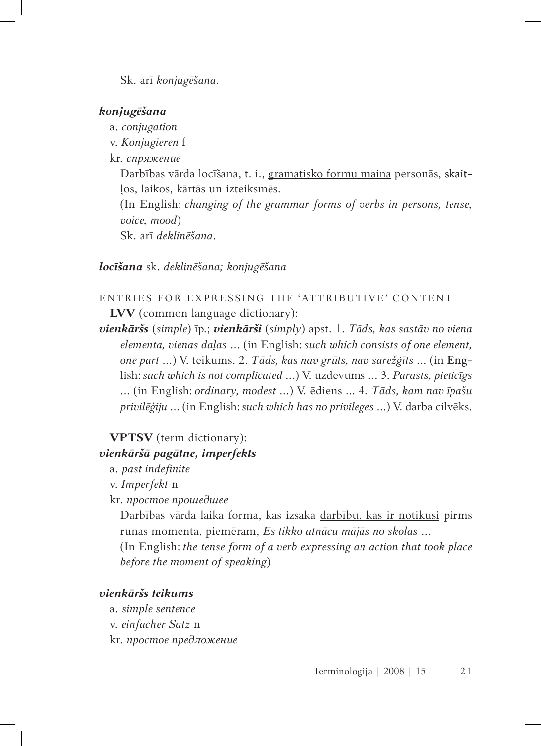Sk. arī *konjugēšana*.

### *konjugēšana*

- a. *conjugation*
- v. *Konjugieren* f
- kr. *спряжение*

Darbības vārda locīšana, t. i., gramatisko formu maiņa personās, skaitļos, laikos, kārtās un izteiksmēs.

(In English: *changing of the grammar forms of verbs in persons, tense, voice, mood*)

Sk. arī *deklinēšana*.

### *locīšana* sk. *deklinēšana; konjugēšana*

# ENTRIES FOR EXPRESSING THE 'ATTRIBUTIVE' CONTENT **LVV** (common language dictionary):

*vienkāršs* (*simple*) īp.; *vienkārši* (*simply*) apst. 1. *Tāds, kas sastāv no viena elementa, vienas daļas* ... (in English: *such which consists of one element, one part* ...) V. teikums. 2. *Tāds, kas nav grūts, nav sarežģīts* ... (in English: *such which is notcomplicated* ...) V. uzdevums ... 3. *Parasts, pieticīgs* ... (in English: *ordinary, modest* ...) V. ēdiens ... 4. *Tāds, kam nav īpašu privilēģiju* ... (in English: *such which has no privileges* ...) V. darba cilvēks.

## **VPTSV** (term dictionary):

### *vienkāršā pagātne, imperfekts*

- a. *past indefinite*
- v. *Imperfekt* n
- kr. *простое прошедшее*

Darbības vārda laika forma, kas izsaka darbību, kas ir notikusi pirms runas momenta, piemēram, *Es tikko atnācu mājās no skolas* ...

(In English: *the tense form of a verb expressing an action that took place before the moment of speaking*)

### *vienkāršs teikums*

- a. *simple sentence*
- v. *einfacher Satz* n
- kr. *простое предложение*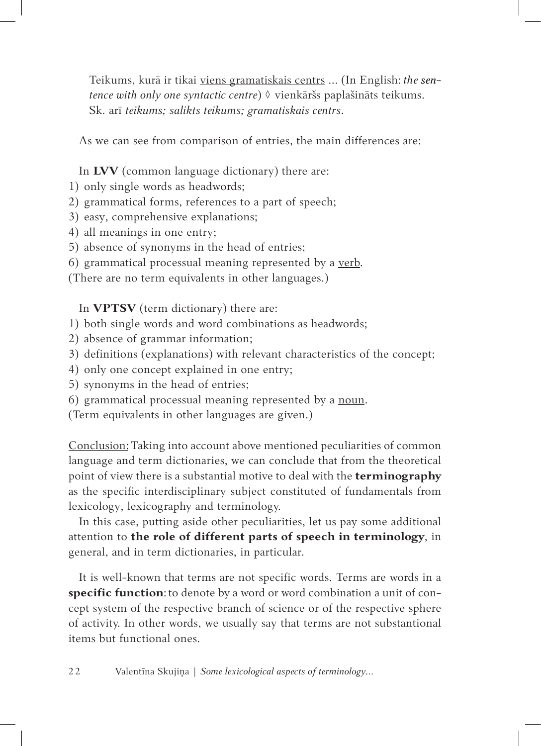Teikums, kurā ir tikai viens gramatiskais centrs ... (In English: *the sentence with only one syntactic centre*) ◊ vienkāršs paplašināts teikums. Sk. arī *teikums; salikts teikums; gramatiskais centrs*.

As we can see from comparison of entries, the main differences are:

In **LVV** (common language dictionary) there are:

- 1) only single words as headwords;
- 2) grammatical forms, references to a part of speech;
- 3) easy, comprehensive explanations;
- 4) all meanings in one entry;
- 5) absence of synonyms in the head of entries;
- 6) grammatical processual meaning represented by a verb.

(There are no term equivalents in other languages.)

In **VPTSV** (term dictionary) there are:

- 1) both single words and word combinations as headwords;
- 2) absence of grammar information;
- 3) definitions (explanations) with relevant characteristics of the concept;
- 4) only one concept explained in one entry;
- 5) synonyms in the head of entries;
- 6) grammatical processual meaning represented by a noun.
- (Term equivalents in other languages are given.)

Conclusion: Taking into account above mentioned peculiarities of common language and term dictionaries, we can conclude that from the theoretical point of view there is a substantial motive to deal with the **terminography** as the specific interdisciplinary subject constituted of fundamentals from lexicology, lexicography and terminology.

In this case, putting aside other peculiarities, let us pay some additional attention to **the role of different parts of speech in terminology**, in general, and in term dictionaries, in particular.

It is well-known that terms are not specific words. Terms are words in a **specific function**: to denote by a word or word combination a unit of concept system of the respective branch of science or of the respective sphere of activity. In other words, we usually say that terms are not substantional items but functional ones.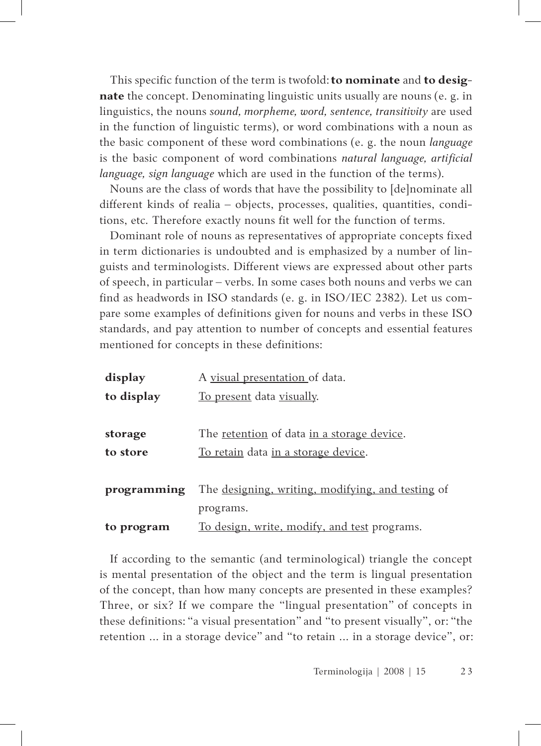This specific function of the term is twofold: **to nominate** and **to designate** the concept. Denominating linguistic units usually are nouns (e. g. in linguistics, the nouns *sound, morpheme, word, sentence, transitivity* are used in the function of linguistic terms), or word combinations with a noun as the basic component of these word combinations (e. g. the noun *language* is the basic component of word combinations *natural language, artificial language, sign language* which are used in the function of the terms).

Nouns are the class of words that have the possibility to [de]nominate all different kinds of realia – objects, processes, qualities, quantities, conditions, etc. Therefore exactly nouns fit well for the function of terms.

Dominant role of nouns as representatives of appropriate concepts fixed in term dictionaries is undoubted and is emphasized by a number of linguists and terminologists. Different views are expressed about other parts of speech, in particular – verbs. In some cases both nouns and verbs we can find as headwords in ISO standards (e. g. in ISO/IEC 2382). Let us compare some examples of definitions given for nouns and verbs in these ISO standards, and pay attention to number of concepts and essential features mentioned for concepts in these definitions:

| display     | A visual presentation of data.                            |
|-------------|-----------------------------------------------------------|
| to display  | To present data visually.                                 |
|             |                                                           |
| storage     | The <u>retention</u> of data <u>in a storage device</u> . |
| to store    | <u>To retain</u> data in a storage device.                |
|             |                                                           |
| programming | The designing, writing, modifying, and testing of         |
|             | programs.                                                 |
| to program  | To design, write, modify, and test programs.              |

If according to the semantic (and terminological) triangle the concept is mental presentation of the object and the term is lingual presentation of the concept, than how many concepts are presented in these examples? Three, or six? If we compare the "lingual presentation" of concepts in these definitions: "a visual presentation" and "to present visually", or: "the retention ... in a storage device" and "to retain ... in a storage device", or: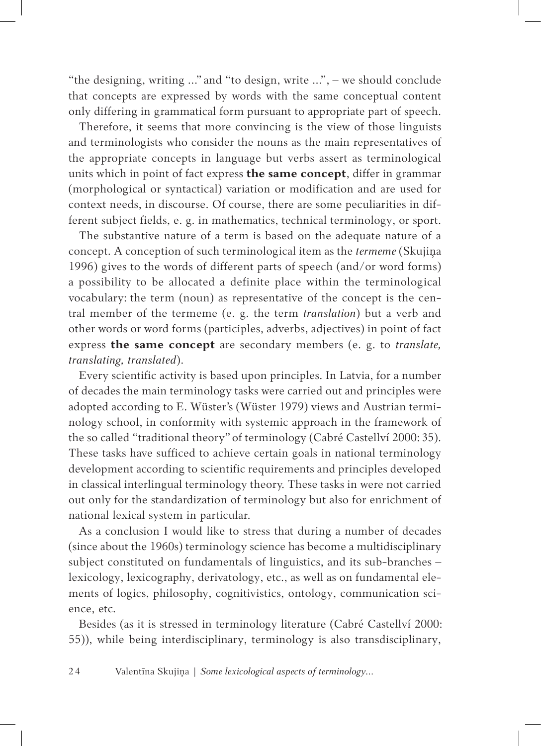"the designing, writing ..." and "to design, write ...", – we should conclude that concepts are expressed by words with the same conceptual content only differing in grammatical form pursuant to appropriate part of speech.

Therefore, it seems that more convincing is the view of those linguists and terminologists who consider the nouns as the main representatives of the appropriate concepts in language but verbs assert as terminological units which in point of fact express **the same concept**, differ in grammar (morphological or syntactical) variation or modification and are used for context needs, in discourse. Of course, there are some peculiarities in different subject fields, e. g. in mathematics, technical terminology, or sport.

The substantive nature of a term is based on the adequate nature of a concept. A conception of such terminological item as the *termeme* (Skujiņa 1996) gives to the words of different parts of speech (and/or word forms) a possibility to be allocated a definite place within the terminological vocabulary: the term (noun) as representative of the concept is the central member of the termeme (e. g. the term *translation*) but a verb and other words or word forms (participles, adverbs, adjectives) in point of fact express **the same concept** are secondary members (e. g. to *translate, translating, translated*).

Every scientific activity is based upon principles. In Latvia, for a number of decades the main terminology tasks were carried out and principles were adopted according to E. Wüster's (Wüster 1979) views and Austrian terminology school, in conformity with systemic approach in the framework of the so called "traditional theory" of terminology (Cabré Castellví 2000: 35). These tasks have sufficed to achieve certain goals in national terminology development according to scientific requirements and principles developed in classical interlingual terminology theory. These tasks in were not carried out only for the standardization of terminology but also for enrichment of national lexical system in particular.

As a conclusion I would like to stress that during a number of decades (since about the 1960s) terminology science has become a multidisciplinary subject constituted on fundamentals of linguistics, and its sub-branches – lexicology, lexicography, derivatology, etc., as well as on fundamental elements of logics, philosophy, cognitivistics, ontology, communication science, etc.

Besides (as it is stressed in terminology literature (Cabré Castellví 2000: 55)), while being interdisciplinary, terminology is also transdisciplinary,

2 4 Valentīna Skujiņa | *Some lexicological aspects of terminology...*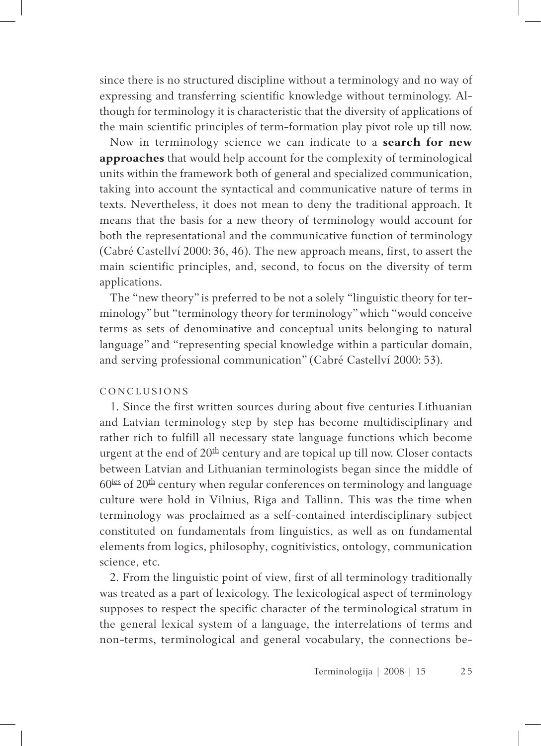since there is no structured discipline without a terminology and no way of expressing and transferring scientific knowledge without terminology. Although for terminology it is characteristic that the diversity of applications of the main scientific principles of term-formation play pivot role up till now.

Now in terminology science we can indicate to a **search for new approaches** that would help account for the complexity of terminological units within the framework both of general and specialized communication, taking into account the syntactical and communicative nature of terms in texts. Nevertheless, it does not mean to deny the traditional approach. It means that the basis for a new theory of terminology would account for both the representational and the communicative function of terminology (Cabré Castellví 2000: 36, 46). The new approach means, first, to assert the main scientific principles, and, second, to focus on the diversity of term applications.

The "new theory" is preferred to be not a solely "linguistic theory for terminology" but "terminology theory for terminology" which "would conceive terms as sets of denominative and conceptual units belonging to natural language" and "representing special knowledge within a particular domain, and serving professional communication" (Cabré Castellví 2000: 53).

### **CONCLUSIONS**

1. Since the first written sources during about five centuries Lithuanian and Latvian terminology step by step has become multidisciplinary and rather rich to fulfill all necessary state language functions which become urgent at the end of  $20<sup>th</sup>$  century and are topical up till now. Closer contacts between Latvian and Lithuanian terminologists began since the middle of  $60<sup>ies</sup>$  of  $20<sup>th</sup>$  century when regular conferences on terminology and language culture were hold in Vilnius, Riga and Tallinn. This was the time when terminology was proclaimed as a self-contained interdisciplinary subject constituted on fundamentals from linguistics, as well as on fundamental elements from logics, philosophy, cognitivistics, ontology, communication science, etc.

2. From the linguistic point of view, first of all terminology traditionally was treated as a part of lexicology. The lexicological aspect of terminology supposes to respect the specific character of the terminological stratum in the general lexical system of a language, the interrelations of terms and non-terms, terminological and general vocabulary, the connections be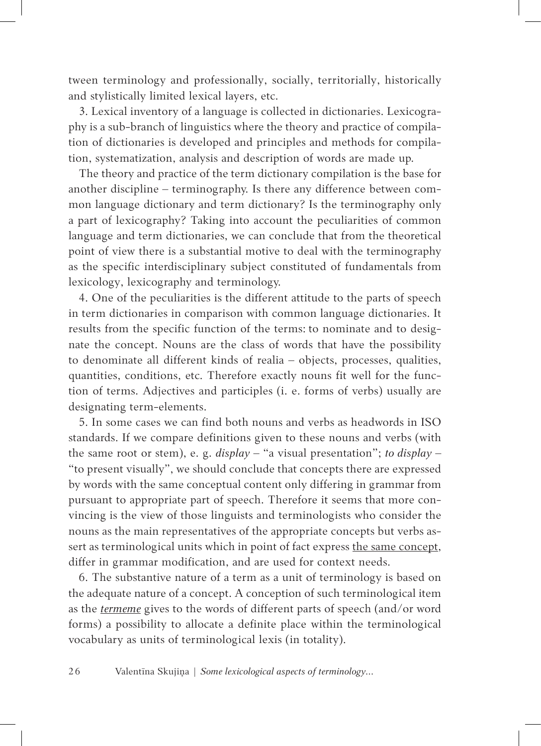tween terminology and professionally, socially, territorially, historically and stylistically limited lexical layers, etc.

3. Lexical inventory of a language is collected in dictionaries. Lexicography is a sub-branch of linguistics where the theory and practice of compilation of dictionaries is developed and principles and methods for compilation, systematization, analysis and description of words are made up.

The theory and practice of the term dictionary compilation is the base for another discipline – terminography. Is there any difference between common language dictionary and term dictionary? Is the terminography only a part of lexicography? Taking into account the peculiarities of common language and term dictionaries, we can conclude that from the theoretical point of view there is a substantial motive to deal with the terminography as the specific interdisciplinary subject constituted of fundamentals from lexicology, lexicography and terminology.

4. One of the peculiarities is the different attitude to the parts of speech in term dictionaries in comparison with common language dictionaries. It results from the specific function of the terms: to nominate and to designate the concept. Nouns are the class of words that have the possibility to denominate all different kinds of realia – objects, processes, qualities, quantities, conditions, etc. Therefore exactly nouns fit well for the function of terms. Adjectives and participles (i. e. forms of verbs) usually are designating term-elements.

5. In some cases we can find both nouns and verbs as headwords in ISO standards. If we compare definitions given to these nouns and verbs (with the same root or stem), e. g. *display* – "a visual presentation"; *to display* – "to present visually", we should conclude that concepts there are expressed by words with the same conceptual content only differing in grammar from pursuant to appropriate part of speech. Therefore it seems that more convincing is the view of those linguists and terminologists who consider the nouns as the main representatives of the appropriate concepts but verbs assert as terminological units which in point of fact express the same concept, differ in grammar modification, and are used for context needs.

6. The substantive nature of a term as a unit of terminology is based on the adequate nature of a concept. A conception of such terminological item as the *termeme* gives to the words of different parts of speech (and/or word forms) a possibility to allocate a definite place within the terminological vocabulary as units of terminological lexis (in totality).

2 6 Valentīna Skujiņa | *Some lexicological aspects of terminology...*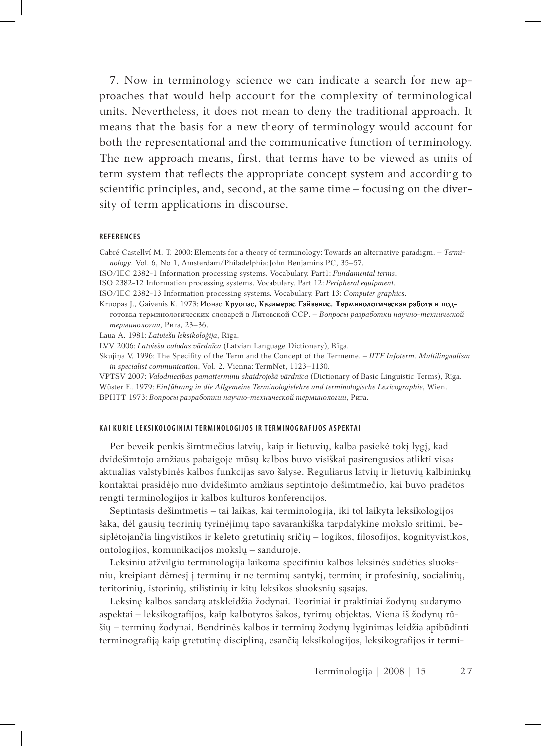7. Now in terminology science we can indicate a search for new approaches that would help account for the complexity of terminological units. Nevertheless, it does not mean to deny the traditional approach. It means that the basis for a new theory of terminology would account for both the representational and the communicative function of terminology. The new approach means, first, that terms have to be viewed as units of term system that reflects the appropriate concept system and according to scientific principles, and, second, at the same time – focusing on the diversity of term applications in discourse.

### **R E F E R E N C E S**

Cabré Castellví M. T. 2000: Elements for a theory of terminology: Towards an alternative paradigm. – *Terminology*. Vol. 6, No 1, Amsterdam/Philadelphia: John Benjamins PC, 35–57.

ISO/IEC 2382-1 Information processing systems. Vocabulary. Part1: *Fundamental terms*.

ISO 2382-12 Information processing systems. Vocabulary. Part 12: *Peripheral equipment*.

ISO/IEC 2382-13 Information processing systems. Vocabulary. Part 13: *Computer graphics*.

Kruopas J., Gaivenis K. 1973: Ионас Круопас, Казимерас Гайвенис. Терминологическая работа и под-

готовка терминологических словарей в Литовской ССР. – *Вопросы разработки научно-технической терминологии*, Рига, 23–36.

Laua A. 1981: *Latviešu leksikoloģija*, Rīga.

LVV 2006: *Latviešu valodas vārdnīca* (Latvian Language Dictionary), Rīga.

Skujiņa V. 1996: The Specifity of the Term and the Concept of the Termeme. – *IITF Infoterm. Multilingualism in specialist communication*. Vol. 2. Vienna: TermNet, 1123–1130.

VPTSV 2007: *Valodniecības pamatterminu skaidrojošā vārdnīca* (Dictionary of Basic Linguistic Terms), Rīga. Wüster E. 1979: *Einführung in die Allgemeine Terminologielehre und terminologische Lexicographie*, Wien. ВРНТТ 1973: *Вопросы разработки научно-технической терминологии*, Рига.

### **KAI KURIE LEKSIKOLOGINIAI TERMINOLOGIJOS IR TERMINOGRAFIJOS ASPEKTAI**

Per beveik penkis šimtmečius latvių, kaip ir lietuvių, kalba pasiekė tokį lygį, kad dvidešimtojo amžiaus pabaigoje mūsų kalbos buvo visiškai pasirengusios atlikti visas aktualias valstybinės kalbos funkcijas savo šalyse. Reguliarūs latvių ir lietuvių kalbininkų kontaktai prasidėjo nuo dvidešimto amžiaus septintojo dešimtmečio, kai buvo pradėtos rengti terminologijos ir kalbos kultūros konferencijos.

Septintasis dešimtmetis – tai laikas, kai terminologija, iki tol laikyta leksikologijos šaka, dėl gausių teorinių tyrinėjimų tapo savarankiška tarpdalykine mokslo sritimi, besiplėtojančia lingvistikos ir keleto gretutinių sričių – logikos, filosofijos, kognityvistikos, ontologijos, komunikacijos mokslų – sandūroje.

Leksiniu atžvilgiu terminologija laikoma specifiniu kalbos leksinės sudėties sluoksniu, kreipiant dėmesį į terminų ir ne terminų santykį, terminų ir profesinių, socialinių, teritorinių, istorinių, stilistinių ir kitų leksikos sluoksnių sąsajas.

Leksinę kalbos sandarą atskleidžia žodynai. Teoriniai ir praktiniai žodynų sudarymo aspektai – leksikografijos, kaip kalbotyros šakos, tyrimų objektas. Viena iš žodynų rūšių – terminų žodynai. Bendrinės kalbos ir terminų žodynų lyginimas leidžia apibūdinti terminografiją kaip gretutinę discipliną, esančią leksikologijos, leksikografijos ir termi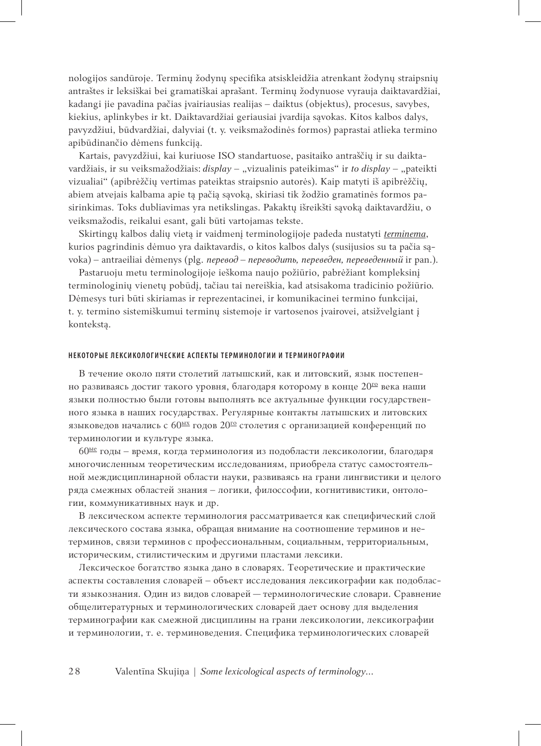nologijos sandūroje. Terminų žodynų specifika atsiskleidžia atrenkant žodynų straipsnių antraštes ir leksiškai bei gramatiškai aprašant. Terminų žodynuose vyrauja daiktavardžiai, kadangi jie pavadina pačias įvairiausias realijas – daiktus (objektus), procesus, savybes, kiekius, aplinkybes ir kt. Daiktavardžiai geriausiai įvardija sąvokas. Kitos kalbos dalys, pavyzdžiui, būdvardžiai, dalyviai (t. y. veiksmažodinės formos) paprastai atlieka termino apibūdinančio dėmens funkciją.

Kartais, pavyzdžiui, kai kuriuose ISO standartuose, pasitaiko antraščių ir su daiktavardžiais, ir su veiksmažodžiais: *display* – "vizualinis pateikimas" ir *to display* – "pateikti vizualiai" (apibrėžčių vertimas pateiktas straipsnio autorės). Kaip matyti iš apibrėžčių, abiem atvejais kalbama apie tą pačią sąvoką, skiriasi tik žodžio gramatinės formos pasirinkimas. Toks dubliavimas yra netikslingas. Pakaktų išreikšti sąvoką daiktavardžiu, o veiksmažodis, reikalui esant, gali būti vartojamas tekste.

Skirtingų kalbos dalių vietą ir vaidmenį terminologijoje padeda nustatyti *terminema*, kurios pagrindinis dėmuo yra daiktavardis, o kitos kalbos dalys (susijusios su ta pačia sąvoka) – antraeiliai dėmenys (plg. *перевод – переводить, переведен, переведенный* ir pan.).

Pastaruoju metu terminologijoje ieškoma naujo požiūrio, pabrėžiant kompleksinį terminologinių vienetų pobūdį, tačiau tai nereiškia, kad atsisakoma tradicinio požiūrio. Dėmesys turi būti skiriamas ir reprezentacinei, ir komunikacinei termino funkcijai, t. y. termino sistemiškumui terminų sistemoje ir vartosenos įvairovei, atsižvelgiant į kontekstą.

#### НЕКОТОРЫЕ ЛЕКСИКОЛОГИЧЕСКИЕ АСПЕКТЫ ТЕРМИНОЛОГИИ И ТЕРМИНОГРАФИИ

В течение около пяти столетий латышский, как и литовский, язык постепенно развиваясь достиг такого уровня, благодаря которому в конце 20го века наши языки полностью были готовы выполнять все актуальные функции государственного языка в наших государствах. Регулярные контакты латышских и литовских языковедов начались с  $60^{\text{hix}}$  годов  $20^{\text{ro}}$  столетия с организацией конференций по терминологии и культуре языка.

60ые годы – время, когда терминология из подобласти лексикологии, благодаря многочисленным теоретическим исследованиям, приобрела статус самостоятельной междисциплинарной области науки, развиваясь на грани лингвистики и целого ряда смежных областей знания – логики, филоссофии, когнитивистики, онтологии, коммуникативных наук и др.

В лексическом аспекте терминология рассматривается как специфический слой лексического состава языка, обращая внимание на соотношение терминов и нетерминов, связи терминов с профессиональным, социальным, территориальным, историческим, стилистическим и другими пластами лексики.

Лексическое богатство языка дано в словарях. Теоретические и практические аспекты составления словарей – объект исследования лексикографии как подобласти языкознания. Один из видов словарей — терминологические словари. Сравнение общелитературных и терминологических словарей дает основу для выделения терминографии как смежной дисциплины на грани лексикологии, лексикографии и терминологии, т. е. терминоведения. Специфика терминологических словарей

2 8 Valentīna Skujiņa | *Some lexicological aspects of terminology...*